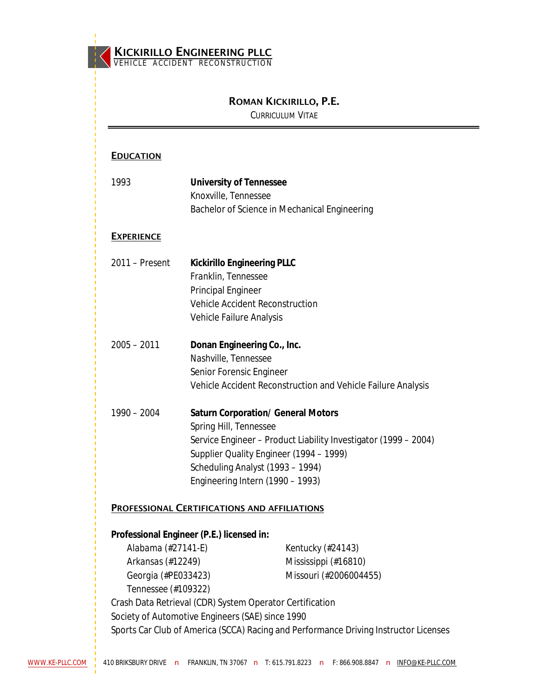

# **ROMAN KICKIRILLO, P.E.**

CURRICULUM VITAE

#### **EDUCATION**

| 1993                | <b>University of Tennessee</b><br>Knoxville, Tennessee<br>Bachelor of Science in Mechanical Engineering |                                                                                      |
|---------------------|---------------------------------------------------------------------------------------------------------|--------------------------------------------------------------------------------------|
| <b>EXPERIENCE</b>   |                                                                                                         |                                                                                      |
| $2011 -$ Present    | <b>Kickirillo Engineering PLLC</b>                                                                      |                                                                                      |
|                     | Franklin, Tennessee                                                                                     |                                                                                      |
|                     | <b>Principal Engineer</b>                                                                               |                                                                                      |
|                     | <b>Vehicle Accident Reconstruction</b>                                                                  |                                                                                      |
|                     | Vehicle Failure Analysis                                                                                |                                                                                      |
| $2005 - 2011$       | Donan Engineering Co., Inc.                                                                             |                                                                                      |
|                     | Nashville, Tennessee                                                                                    |                                                                                      |
|                     | Senior Forensic Engineer                                                                                |                                                                                      |
|                     |                                                                                                         | Vehicle Accident Reconstruction and Vehicle Failure Analysis                         |
| $1990 - 2004$       | <b>Saturn Corporation/ General Motors</b>                                                               |                                                                                      |
|                     | <b>Spring Hill, Tennessee</b>                                                                           |                                                                                      |
|                     | Service Engineer - Product Liability Investigator (1999 - 2004)                                         |                                                                                      |
|                     | Supplier Quality Engineer (1994 - 1999)                                                                 |                                                                                      |
|                     | Scheduling Analyst (1993 - 1994)                                                                        |                                                                                      |
|                     | Engineering Intern (1990 - 1993)                                                                        |                                                                                      |
|                     | <b>PROFESSIONAL CERTIFICATIONS AND AFFILIATIONS</b>                                                     |                                                                                      |
|                     | Professional Engineer (P.E.) licensed in:                                                               |                                                                                      |
| Alabama (#27141-E)  |                                                                                                         | Kentucky (#24143)                                                                    |
| Arkansas (#12249)   |                                                                                                         | Mississippi (#16810)                                                                 |
| Georgia (#PE033423) |                                                                                                         | Missouri (#2006004455)                                                               |
| Tennessee (#109322) |                                                                                                         |                                                                                      |
|                     | Crash Data Retrieval (CDR) System Operator Certification                                                |                                                                                      |
|                     | Society of Automotive Engineers (SAE) since 1990                                                        |                                                                                      |
|                     |                                                                                                         | Sports Car Club of America (SCCA) Racing and Performance Driving Instructor Licenses |

[WWW.KE-PLLC.COM](http://www.KE-PLLC.COM) 410 BRIKSBURY DRIVE n FRANKLIN, TN 37067 n T: 615.791.8223 n F: 866.908.8847 n [INFO@KE-PLLC.COM](mailto:INFO@KE-PLLC.COM)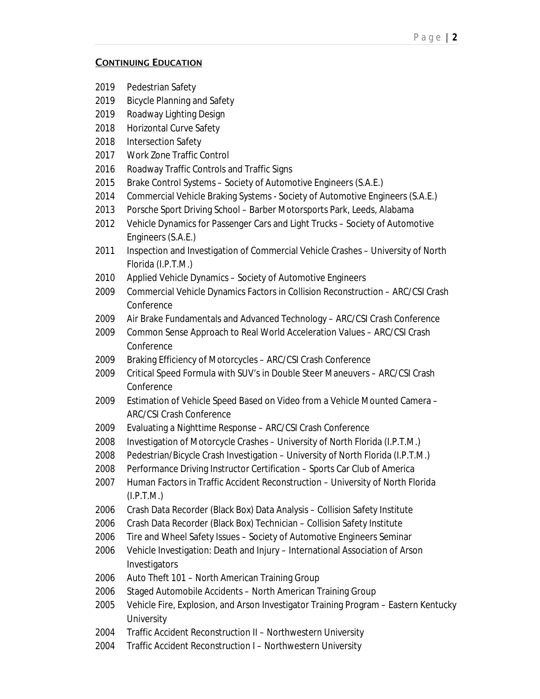#### **CONTINUING EDUCATION**

- Pedestrian Safety
- Bicycle Planning and Safety
- Roadway Lighting Design
- Horizontal Curve Safety
- Intersection Safety
- Work Zone Traffic Control
- Roadway Traffic Controls and Traffic Signs
- Brake Control Systems Society of Automotive Engineers (S.A.E.)
- Commercial Vehicle Braking Systems Society of Automotive Engineers (S.A.E.)
- Porsche Sport Driving School Barber Motorsports Park, Leeds, Alabama
- Vehicle Dynamics for Passenger Cars and Light Trucks Society of Automotive Engineers (S.A.E.)
- Inspection and Investigation of Commercial Vehicle Crashes University of North Florida (I.P.T.M.)
- Applied Vehicle Dynamics Society of Automotive Engineers
- Commercial Vehicle Dynamics Factors in Collision Reconstruction ARC/CSI Crash Conference
- Air Brake Fundamentals and Advanced Technology ARC/CSI Crash Conference
- Common Sense Approach to Real World Acceleration Values ARC/CSI Crash Conference
- Braking Efficiency of Motorcycles ARC/CSI Crash Conference
- Critical Speed Formula with SUV's in Double Steer Maneuvers ARC/CSI Crash Conference
- Estimation of Vehicle Speed Based on Video from a Vehicle Mounted Camera ARC/CSI Crash Conference
- Evaluating a Nighttime Response ARC/CSI Crash Conference
- Investigation of Motorcycle Crashes University of North Florida (I.P.T.M.)
- Pedestrian/Bicycle Crash Investigation University of North Florida (I.P.T.M.)
- Performance Driving Instructor Certification Sports Car Club of America
- Human Factors in Traffic Accident Reconstruction University of North Florida (I.P.T.M.)
- Crash Data Recorder (Black Box) Data Analysis Collision Safety Institute
- Crash Data Recorder (Black Box) Technician Collision Safety Institute
- Tire and Wheel Safety Issues Society of Automotive Engineers Seminar
- Vehicle Investigation: Death and Injury International Association of Arson Investigators
- Auto Theft 101 North American Training Group
- Staged Automobile Accidents North American Training Group
- Vehicle Fire, Explosion, and Arson Investigator Training Program Eastern Kentucky **University**
- Traffic Accident Reconstruction II Northwestern University
- Traffic Accident Reconstruction I Northwestern University